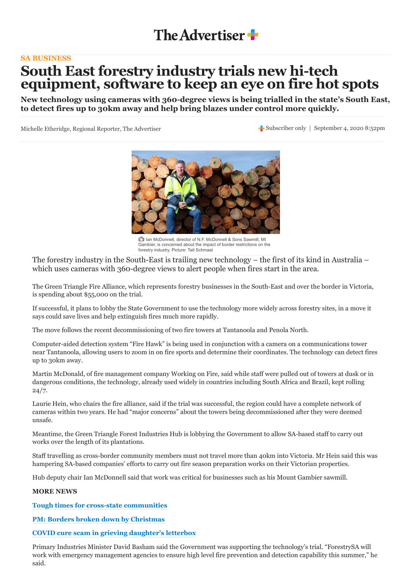

## **[SA BUSINESS](http://www.adelaidenow.com.au/business/)**

## **South East forestry industry trials new hi-tech equipment, software to keep an eye on fire hot spots**

**New technology using cameras with 360-degree views is being trialled in the state's South East, to detect fires up to 30km away and help bring blazes under control more quickly.**

Michelle Etheridge, Regional Reporter, The Advertiser Subscriber only | September 4, 2020 8:52pm



Ian McDonnell, director of N.F. McDonnell & Sons Sawmill, Mt Gambier, is concerned about the impact of border restrictions on the forestry industry. Picture: Tait Schmaal

The forestry industry in the South-East is trailing new technology – the first of its kind in Australia – which uses cameras with 360-degree views to alert people when fires start in the area.

The Green Triangle Fire Alliance, which represents forestry businesses in the South-East and over the border in Victoria, is spending about \$55,000 on the trial.

If successful, it plans to lobby the State Government to use the technology more widely across forestry sites, in a move it says could save lives and help extinguish fires much more rapidly.

The move follows the recent decommissioning of two fire towers at Tantanoola and Penola North.

Computer-aided detection system "Fire Hawk" is being used in conjunction with a camera on a communications tower near Tantanoola, allowing users to zoom in on fire sports and determine their coordinates. The technology can detect fires up to 30km away.

Martin McDonald, of fire management company Working on Fire, said while staff were pulled out of towers at dusk or in dangerous conditions, the technology, already used widely in countries including South Africa and Brazil, kept rolling  $24/7.$ 

Laurie Hein, who chairs the fire alliance, said if the trial was successful, the region could have a complete network of cameras within two years. He had "major concerns" about the towers being decommissioned after they were deemed unsafe.

Meantime, the Green Triangle Forest Industries Hub is lobbying the Government to allow SA-based staff to carry out works over the length of its plantations.

Staff travelling as cross-border community members must not travel more than 40km into Victoria. Mr Hein said this was hampering SA-based companies' efforts to carry out fire season preparation works on their Victorian properties.

Hub deputy chair Ian McDonnell said that work was critical for businesses such as his Mount Gambier sawmill.

## **MORE NEWS**

**[Tough times for cross-state communities](https://www.adelaidenow.com.au/coronavirus/tough-times-for-crossstate-communities-as-new-south-australian-border-controls-come-into-effect/news-story/ceafbac32546bee1ddcc7b6197b2a02a)**

**[PM: Borders broken down by Christmas](https://www.adelaidenow.com.au/coronavirus/eu-and-us-in-reopening-upheaval-as-protests-against-pandemic-restrictions-grip-berlin/news-story/6c3ba7a4659d10f8f9c3838aed4ac8ad)**

## **[COVID cure scam in grieving daughter's letterbox](https://www.adelaidenow.com.au/messenger/glenelg-woman-who-lost-father-to-coronavirus-finds-cure-scam-flyer-in-letterbox/news-story/d776406c4db0afeed766185b5d8677f0)**

Primary Industries Minister David Basham said the Government was supporting the technology's trial. "ForestrySA will work with emergency management agencies to ensure high level fire prevention and detection capability this summer," he said.